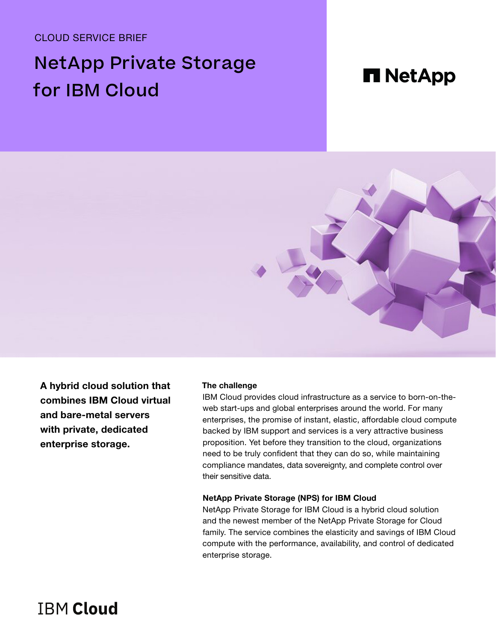CLOUD SERVICE BRIEF

# NetApp Private Storage for IBM Cloud

# **n** NetApp



A hybrid cloud solution that combines IBM Cloud virtual and bare-metal servers with private, dedicated enterprise storage.

#### **The challenge**

IBM Cloud provides cloud infrastructure as a service to born-on-theweb start-ups and global enterprises around the world. For many enterprises, the promise of instant, elastic, affordable cloud compute backed by IBM support and services is a very attractive business proposition. Yet before they transition to the cloud, organizations need to be truly confident that they can do so, while maintaining compliance mandates, data sovereignty, and complete control over their sensitive data.

#### **NetApp Private Storage (NPS) for IBM Cloud**

NetApp Private Storage for IBM Cloud is a hybrid cloud solution and the newest member of the NetApp Private Storage for Cloud family. The service combines the elasticity and savings of IBM Cloud compute with the performance, availability, and control of dedicated enterprise storage.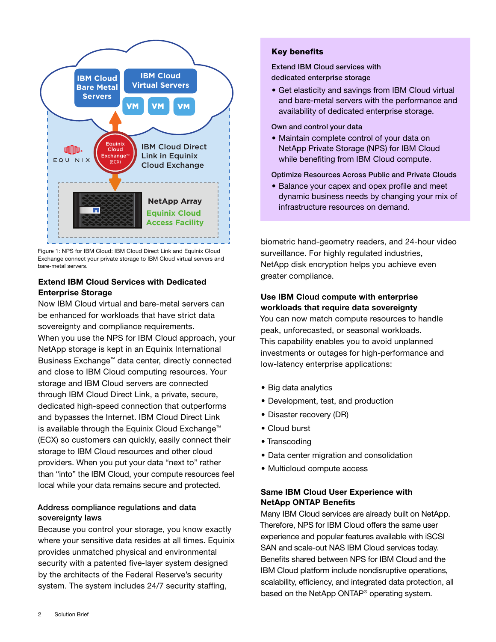

Figure 1: NPS for IBM Cloud: IBM Cloud Direct Link and Equinix Cloud Exchange connect your private storage to IBM Cloud virtual servers and bare-metal servers.

# **Extend IBM Cloud Services with Dedicated Enterprise Storage**

Now IBM Cloud virtual and bare-metal servers can be enhanced for workloads that have strict data sovereignty and compliance requirements. When you use the NPS for IBM Cloud approach, your NetApp storage is kept in an Equinix International Business Exchange™ data center, directly connected and close to IBM Cloud computing resources. Your storage and IBM Cloud servers are connected through IBM Cloud Direct Link, a private, secure, dedicated high-speed connection that outperforms and bypasses the Internet. IBM Cloud Direct Link is available through the Equinix Cloud Exchange™ (ECX) so customers can quickly, easily connect their storage to IBM Cloud resources and other cloud providers. When you put your data "next to" rather than "into" the IBM Cloud, your compute resources feel local while your data remains secure and protected.

# Address compliance regulations and data sovereignty laws

Because you control your storage, you know exactly where your sensitive data resides at all times. Equinix provides unmatched physical and environmental security with a patented five-layer system designed by the architects of the Federal Reserve's security system. The system includes 24/7 security staffing,

## Key benefits

Extend IBM Cloud services with dedicated enterprise storage

• Get elasticity and savings from IBM Cloud virtual and bare-metal servers with the performance and availability of dedicated enterprise storage.

Own and control your data

• Maintain complete control of your data on NetApp Private Storage (NPS) for IBM Cloud while benefiting from IBM Cloud compute.

#### Optimize Resources Across Public and Private Clouds

• Balance your capex and opex profile and meet dynamic business needs by changing your mix of infrastructure resources on demand.

biometric hand-geometry readers, and 24-hour video surveillance. For highly regulated industries, NetApp disk encryption helps you achieve even greater compliance.

# Use IBM Cloud compute with enterprise workloads that require data sovereignty

You can now match compute resources to handle peak, unforecasted, or seasonal workloads. This capability enables you to avoid unplanned investments or outages for high-performance and low-latency enterprise applications:

- Big data analytics
- Development, test, and production
- Disaster recovery (DR)
- Cloud burst
- Transcoding
- Data center migration and consolidation
- Multicloud compute access

## Same IBM Cloud User Experience with NetApp ONTAP Benefits

Many IBM Cloud services are already built on NetApp. Therefore, NPS for IBM Cloud offers the same user experience and popular features available with iSCSI SAN and scale-out NAS IBM Cloud services today. Benefits shared between NPS for IBM Cloud and the IBM Cloud platform include nondisruptive operations, scalability, efficiency, and integrated data protection, all based on the NetApp ONTAP<sup>®</sup> operating system.